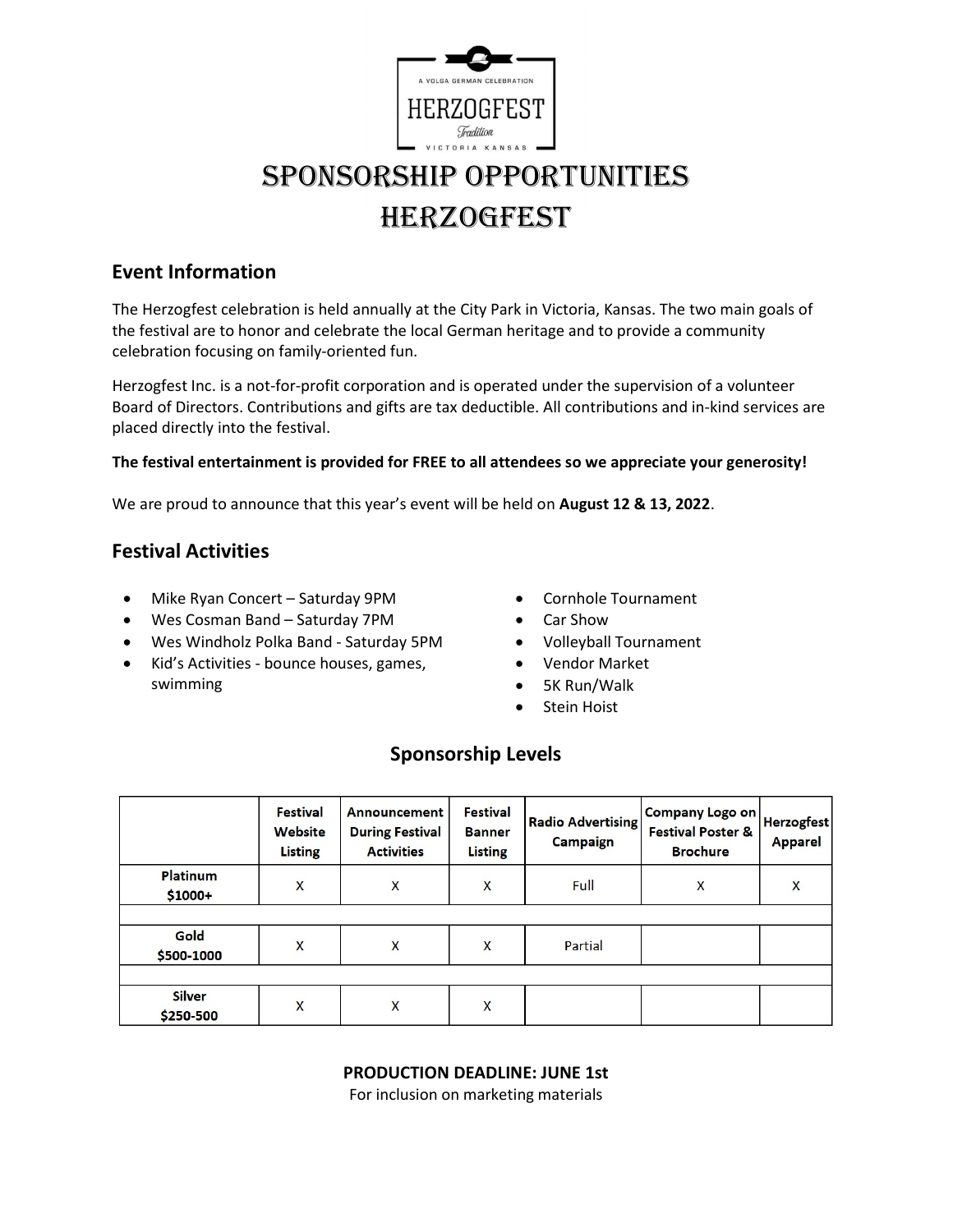

# SponSorShip opportunitieS **HERZOGFEST**

## Event Information

The Herzogfest celebration is held annually at the City Park in Victoria, Kansas. The two main goals of the festival are to honor and celebrate the local German heritage and to provide a community celebration focusing on family-oriented fun.

Herzogfest Inc. is a not-for-profit corporation and is operated under the supervision of a volunteer Board of Directors. Contributions and gifts are tax deductible. All contributions and in-kind services are placed directly into the festival.

### The festival entertainment is provided for FREE to all attendees so we appreciate your generosity!

We are proud to announce that this year's event will be held on August 12 & 13, 2022.

## Festival Activities

- Mike Ryan Concert Saturday 9PM
- Wes Cosman Band Saturday 7PM
- Wes Windholz Polka Band Saturday 5PM
- Kid's Activities bounce houses, games, swimming
- Cornhole Tournament
- Car Show
- Volleyball Tournament
- Vendor Market
- 5K Run/Walk
- **•** Stein Hoist

## Sponsorship Levels

|                            | <b>Festival</b><br>Website<br><b>Listing</b> | Announcement<br><b>During Festival</b><br><b>Activities</b> | <b>Festival</b><br><b>Banner</b><br><b>Listing</b> | <b>Radio Advertising</b><br><b>Campaign</b> | Company Logo on<br><b>Festival Poster &amp;</b><br><b>Brochure</b> | <b>Herzogfest</b><br><b>Apparel</b> |
|----------------------------|----------------------------------------------|-------------------------------------------------------------|----------------------------------------------------|---------------------------------------------|--------------------------------------------------------------------|-------------------------------------|
| Platinum<br>\$1000+        | X                                            | $\overline{\mathsf{X}}$                                     | X                                                  | Full                                        | X                                                                  | X                                   |
|                            |                                              |                                                             |                                                    |                                             |                                                                    |                                     |
| Gold<br>\$500-1000         | X                                            | X                                                           | X                                                  | Partial                                     |                                                                    |                                     |
|                            |                                              |                                                             |                                                    |                                             |                                                                    |                                     |
| <b>Silver</b><br>\$250-500 | X                                            | X                                                           | X                                                  |                                             |                                                                    |                                     |

### PRODUCTION DEADLINE: JUNE 1st

For inclusion on marketing materials